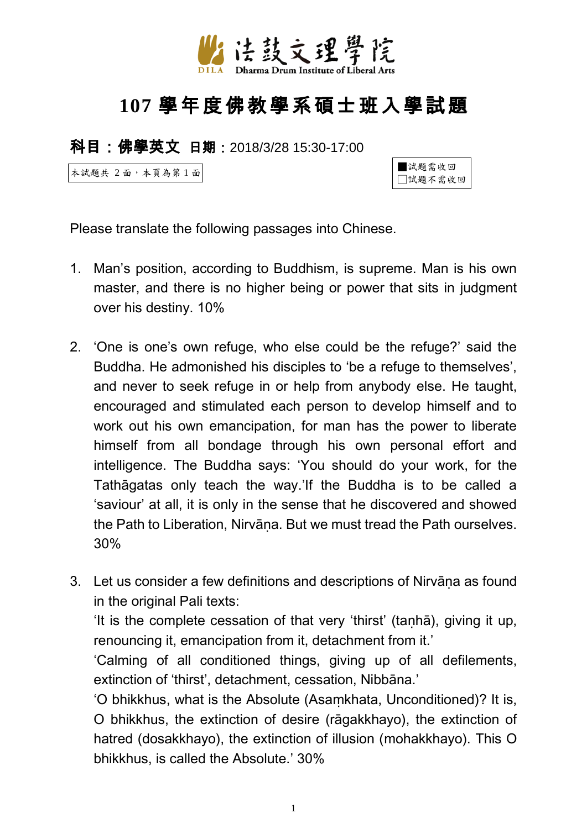

## **107** 學年度佛教學系碩士班入學試題

科目:佛學英文 日期:2018/3/28 15:30-17:00

本試題共 2 面,本頁為第 1 面



Please translate the following passages into Chinese.

- 1. Man's position, according to Buddhism, is supreme. Man is his own master, and there is no higher being or power that sits in judgment over his destiny. 10%
- 2. 'One is one's own refuge, who else could be the refuge?' said the Buddha. He admonished his disciples to 'be a refuge to themselves', and never to seek refuge in or help from anybody else. He taught, encouraged and stimulated each person to develop himself and to work out his own emancipation, for man has the power to liberate himself from all bondage through his own personal effort and intelligence. The Buddha says: 'You should do your work, for the Tathāgatas only teach the way.'If the Buddha is to be called a 'saviour' at all, it is only in the sense that he discovered and showed the Path to Liberation, Nirvāna. But we must tread the Path ourselves. 30%
- 3. Let us consider a few definitions and descriptions of Nirvāna as found in the original Pali texts:

'It is the complete cessation of that very 'thirst' (taṇhā), giving it up, renouncing it, emancipation from it, detachment from it.'

'Calming of all conditioned things, giving up of all defilements, extinction of 'thirst', detachment, cessation, Nibbāna.'

'O bhikkhus, what is the Absolute (Asaṃkhata, Unconditioned)? It is, O bhikkhus, the extinction of desire (rāgakkhayo), the extinction of hatred (dosakkhayo), the extinction of illusion (mohakkhayo). This O bhikkhus, is called the Absolute.' 30%